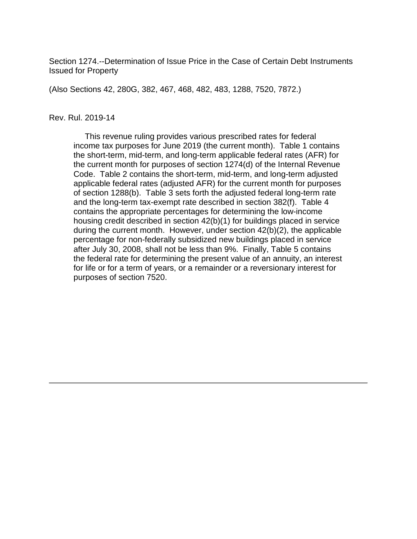Section 1274.--Determination of Issue Price in the Case of Certain Debt Instruments Issued for Property

(Also Sections 42, 280G, 382, 467, 468, 482, 483, 1288, 7520, 7872.)

#### Rev. Rul. 2019-14

 This revenue ruling provides various prescribed rates for federal income tax purposes for June 2019 (the current month). Table 1 contains the short-term, mid-term, and long-term applicable federal rates (AFR) for the current month for purposes of section 1274(d) of the Internal Revenue Code. Table 2 contains the short-term, mid-term, and long-term adjusted applicable federal rates (adjusted AFR) for the current month for purposes of section 1288(b). Table 3 sets forth the adjusted federal long-term rate and the long-term tax-exempt rate described in section 382(f). Table 4 contains the appropriate percentages for determining the low-income housing credit described in section 42(b)(1) for buildings placed in service during the current month. However, under section 42(b)(2), the applicable percentage for non-federally subsidized new buildings placed in service after July 30, 2008, shall not be less than 9%. Finally, Table 5 contains the federal rate for determining the present value of an annuity, an interest for life or for a term of years, or a remainder or a reversionary interest for purposes of section 7520.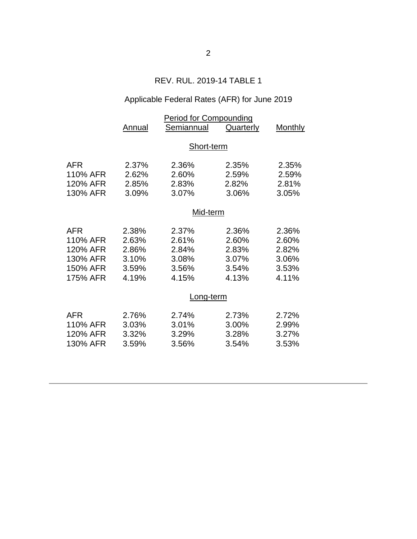## REV. RUL. 2019-14 TABLE 1

# Applicable Federal Rates (AFR) for June 2019

|            | <b>Period for Compounding</b> |            |           |                |  |  |
|------------|-------------------------------|------------|-----------|----------------|--|--|
|            | Annual                        | Semiannual | Quarterly | <b>Monthly</b> |  |  |
|            |                               |            |           |                |  |  |
|            | Short-term                    |            |           |                |  |  |
| AFR        | 2.37%                         | 2.36%      | 2.35%     | 2.35%          |  |  |
| 110% AFR   | 2.62%                         | 2.60%      | 2.59%     | 2.59%          |  |  |
| 120% AFR   | 2.85%                         | 2.83%      | 2.82%     | 2.81%          |  |  |
| 130% AFR   | 3.09%                         | 3.07%      | 3.06%     | 3.05%          |  |  |
|            |                               |            |           |                |  |  |
|            |                               | Mid-term   |           |                |  |  |
| AFR        | 2.38%                         | 2.37%      | 2.36%     | 2.36%          |  |  |
| 110% AFR   | 2.63%                         | 2.61%      | 2.60%     | 2.60%          |  |  |
| 120% AFR   | 2.86%                         | 2.84%      | 2.83%     | 2.82%          |  |  |
| 130% AFR   | 3.10%                         | 3.08%      | 3.07%     | 3.06%          |  |  |
| 150% AFR   | 3.59%                         | 3.56%      | 3.54%     | 3.53%          |  |  |
| 175% AFR   | 4.19%                         | 4.15%      | 4.13%     | 4.11%          |  |  |
|            |                               |            |           |                |  |  |
|            |                               | Long-term  |           |                |  |  |
| <b>AFR</b> | 2.76%                         | 2.74%      | 2.73%     | 2.72%          |  |  |
| 110% AFR   | 3.03%                         | 3.01%      | 3.00%     | 2.99%          |  |  |
| 120% AFR   | 3.32%                         | 3.29%      | 3.28%     | 3.27%          |  |  |
| 130% AFR   | 3.59%                         | 3.56%      | 3.54%     | 3.53%          |  |  |
|            |                               |            |           |                |  |  |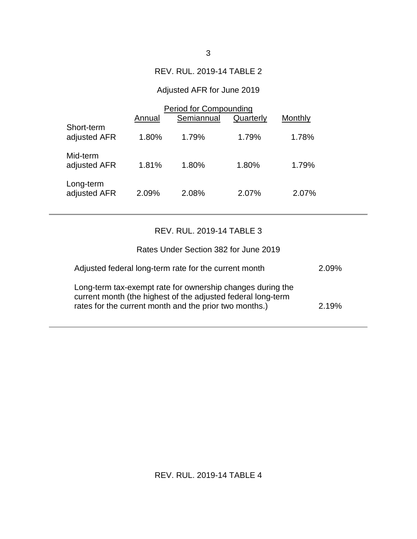### REV. RUL. 2019-14 TABLE 2

## Adjusted AFR for June 2019

|                            | Period for Compounding |            |           |         |  |
|----------------------------|------------------------|------------|-----------|---------|--|
|                            | Annual                 | Semiannual | Quarterly | Monthly |  |
| Short-term<br>adjusted AFR | 1.80%                  | 1.79%      | 1.79%     | 1.78%   |  |
| Mid-term<br>adjusted AFR   | 1.81%                  | 1.80%      | 1.80%     | 1.79%   |  |
| Long-term<br>adjusted AFR  | 2.09%                  | 2.08%      | 2.07%     | 2.07%   |  |

# REV. RUL. 2019-14 TABLE 3

| Rates Under Section 382 for June 2019                                                                                                                                                |       |
|--------------------------------------------------------------------------------------------------------------------------------------------------------------------------------------|-------|
| Adjusted federal long-term rate for the current month                                                                                                                                | 2.09% |
| Long-term tax-exempt rate for ownership changes during the<br>current month (the highest of the adjusted federal long-term<br>rates for the current month and the prior two months.) | 2.19% |

REV. RUL. 2019-14 TABLE 4